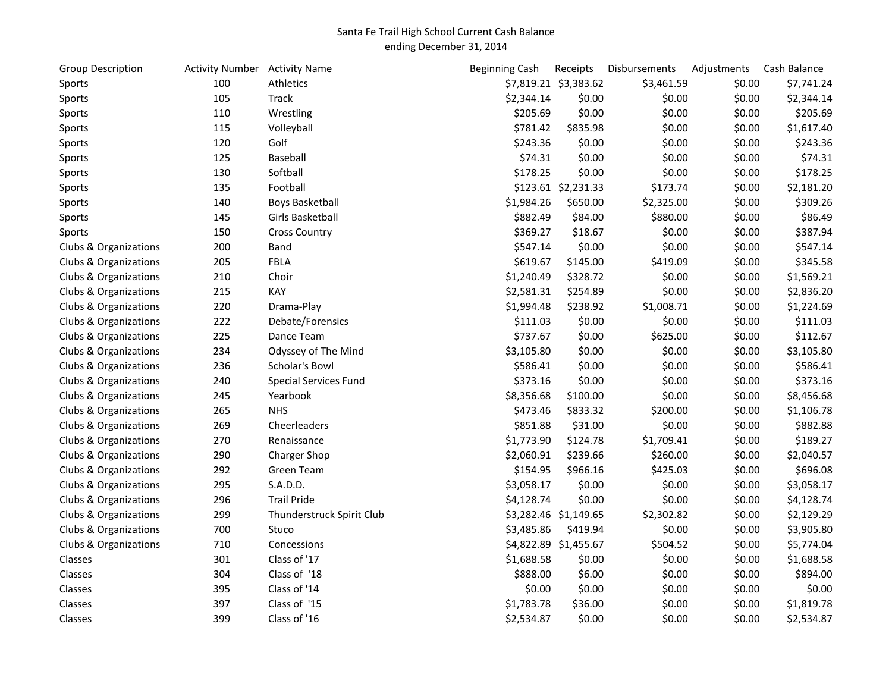## Santa Fe Trail High School Current Cash Balance ending December 31, 2014

| <b>Group Description</b> | Activity Number Activity Name |                           | <b>Beginning Cash</b> | Receipts              | Disbursements | Adjustments | Cash Balance |
|--------------------------|-------------------------------|---------------------------|-----------------------|-----------------------|---------------|-------------|--------------|
| Sports                   | 100                           | Athletics                 |                       | \$7,819.21 \$3,383.62 | \$3,461.59    | \$0.00      | \$7,741.24   |
| Sports                   | 105                           | <b>Track</b>              | \$2,344.14            | \$0.00                | \$0.00        | \$0.00      | \$2,344.14   |
| Sports                   | 110                           | Wrestling                 | \$205.69              | \$0.00                | \$0.00        | \$0.00      | \$205.69     |
| Sports                   | 115                           | Volleyball                | \$781.42              | \$835.98              | \$0.00        | \$0.00      | \$1,617.40   |
| Sports                   | 120                           | Golf                      | \$243.36              | \$0.00                | \$0.00        | \$0.00      | \$243.36     |
| Sports                   | 125                           | Baseball                  | \$74.31               | \$0.00                | \$0.00        | \$0.00      | \$74.31      |
| Sports                   | 130                           | Softball                  | \$178.25              | \$0.00                | \$0.00        | \$0.00      | \$178.25     |
| Sports                   | 135                           | Football                  |                       | \$123.61 \$2,231.33   | \$173.74      | \$0.00      | \$2,181.20   |
| Sports                   | 140                           | Boys Basketball           | \$1,984.26            | \$650.00              | \$2,325.00    | \$0.00      | \$309.26     |
| Sports                   | 145                           | Girls Basketball          | \$882.49              | \$84.00               | \$880.00      | \$0.00      | \$86.49      |
| Sports                   | 150                           | <b>Cross Country</b>      | \$369.27              | \$18.67               | \$0.00        | \$0.00      | \$387.94     |
| Clubs & Organizations    | 200                           | Band                      | \$547.14              | \$0.00                | \$0.00        | \$0.00      | \$547.14     |
| Clubs & Organizations    | 205                           | <b>FBLA</b>               | \$619.67              | \$145.00              | \$419.09      | \$0.00      | \$345.58     |
| Clubs & Organizations    | 210                           | Choir                     | \$1,240.49            | \$328.72              | \$0.00        | \$0.00      | \$1,569.21   |
| Clubs & Organizations    | 215                           | KAY                       | \$2,581.31            | \$254.89              | \$0.00        | \$0.00      | \$2,836.20   |
| Clubs & Organizations    | 220                           | Drama-Play                | \$1,994.48            | \$238.92              | \$1,008.71    | \$0.00      | \$1,224.69   |
| Clubs & Organizations    | 222                           | Debate/Forensics          | \$111.03              | \$0.00                | \$0.00        | \$0.00      | \$111.03     |
| Clubs & Organizations    | 225                           | Dance Team                | \$737.67              | \$0.00                | \$625.00      | \$0.00      | \$112.67     |
| Clubs & Organizations    | 234                           | Odyssey of The Mind       | \$3,105.80            | \$0.00                | \$0.00        | \$0.00      | \$3,105.80   |
| Clubs & Organizations    | 236                           | Scholar's Bowl            | \$586.41              | \$0.00                | \$0.00        | \$0.00      | \$586.41     |
| Clubs & Organizations    | 240                           | Special Services Fund     | \$373.16              | \$0.00                | \$0.00        | \$0.00      | \$373.16     |
| Clubs & Organizations    | 245                           | Yearbook                  | \$8,356.68            | \$100.00              | \$0.00        | \$0.00      | \$8,456.68   |
| Clubs & Organizations    | 265                           | <b>NHS</b>                | \$473.46              | \$833.32              | \$200.00      | \$0.00      | \$1,106.78   |
| Clubs & Organizations    | 269                           | Cheerleaders              | \$851.88              | \$31.00               | \$0.00        | \$0.00      | \$882.88     |
| Clubs & Organizations    | 270                           | Renaissance               | \$1,773.90            | \$124.78              | \$1,709.41    | \$0.00      | \$189.27     |
| Clubs & Organizations    | 290                           | Charger Shop              | \$2,060.91            | \$239.66              | \$260.00      | \$0.00      | \$2,040.57   |
| Clubs & Organizations    | 292                           | <b>Green Team</b>         | \$154.95              | \$966.16              | \$425.03      | \$0.00      | \$696.08     |
| Clubs & Organizations    | 295                           | S.A.D.D.                  | \$3,058.17            | \$0.00                | \$0.00        | \$0.00      | \$3,058.17   |
| Clubs & Organizations    | 296                           | <b>Trail Pride</b>        | \$4,128.74            | \$0.00                | \$0.00        | \$0.00      | \$4,128.74   |
| Clubs & Organizations    | 299                           | Thunderstruck Spirit Club |                       | \$3,282.46 \$1,149.65 | \$2,302.82    | \$0.00      | \$2,129.29   |
| Clubs & Organizations    | 700                           | Stuco                     | \$3,485.86            | \$419.94              | \$0.00        | \$0.00      | \$3,905.80   |
| Clubs & Organizations    | 710                           | Concessions               |                       | \$4,822.89 \$1,455.67 | \$504.52      | \$0.00      | \$5,774.04   |
| Classes                  | 301                           | Class of '17              | \$1,688.58            | \$0.00                | \$0.00        | \$0.00      | \$1,688.58   |
| Classes                  | 304                           | Class of '18              | \$888.00              | \$6.00                | \$0.00        | \$0.00      | \$894.00     |
| Classes                  | 395                           | Class of '14              | \$0.00                | \$0.00                | \$0.00        | \$0.00      | \$0.00       |
| Classes                  | 397                           | Class of '15              | \$1,783.78            | \$36.00               | \$0.00        | \$0.00      | \$1,819.78   |
| Classes                  | 399                           | Class of '16              | \$2,534.87            | \$0.00                | \$0.00        | \$0.00      | \$2,534.87   |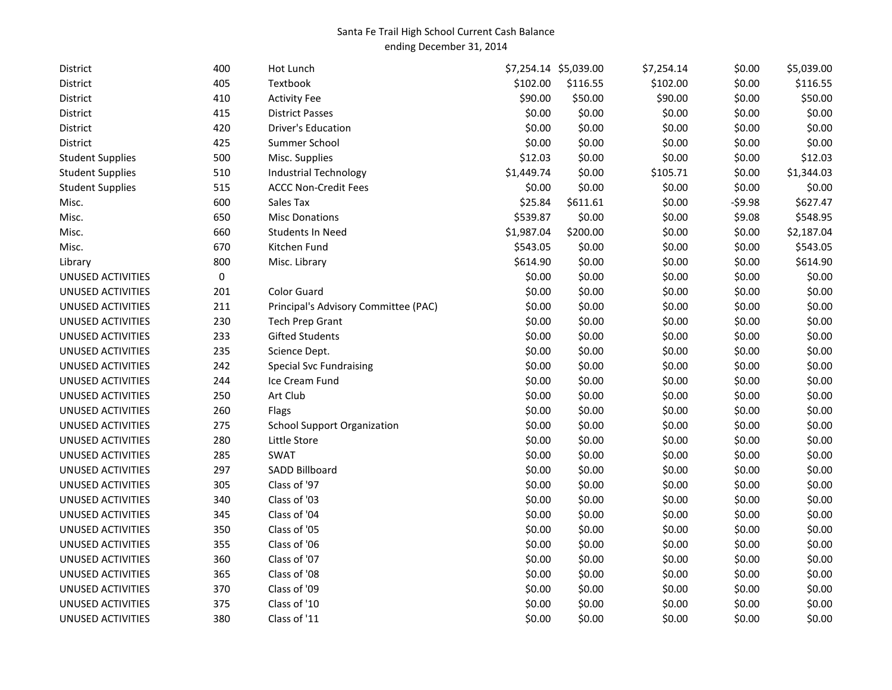## Santa Fe Trail High School Current Cash Balance ending December 31, 2014

| District                 | 400 | Hot Lunch                            |            | \$7,254.14 \$5,039.00 | \$7,254.14 | \$0.00   | \$5,039.00 |
|--------------------------|-----|--------------------------------------|------------|-----------------------|------------|----------|------------|
| District                 | 405 | Textbook                             | \$102.00   | \$116.55              | \$102.00   | \$0.00   | \$116.55   |
| District                 | 410 | <b>Activity Fee</b>                  | \$90.00    | \$50.00               | \$90.00    | \$0.00   | \$50.00    |
| District                 | 415 | <b>District Passes</b>               | \$0.00     | \$0.00                | \$0.00     | \$0.00   | \$0.00     |
| District                 | 420 | <b>Driver's Education</b>            | \$0.00     | \$0.00                | \$0.00     | \$0.00   | \$0.00     |
| District                 | 425 | Summer School                        | \$0.00     | \$0.00                | \$0.00     | \$0.00   | \$0.00     |
| <b>Student Supplies</b>  | 500 | Misc. Supplies                       | \$12.03    | \$0.00                | \$0.00     | \$0.00   | \$12.03    |
| <b>Student Supplies</b>  | 510 | <b>Industrial Technology</b>         | \$1,449.74 | \$0.00                | \$105.71   | \$0.00   | \$1,344.03 |
| <b>Student Supplies</b>  | 515 | <b>ACCC Non-Credit Fees</b>          | \$0.00     | \$0.00                | \$0.00     | \$0.00   | \$0.00     |
| Misc.                    | 600 | Sales Tax                            | \$25.84    | \$611.61              | \$0.00     | $-59.98$ | \$627.47   |
| Misc.                    | 650 | <b>Misc Donations</b>                | \$539.87   | \$0.00                | \$0.00     | \$9.08   | \$548.95   |
| Misc.                    | 660 | <b>Students In Need</b>              | \$1,987.04 | \$200.00              | \$0.00     | \$0.00   | \$2,187.04 |
| Misc.                    | 670 | Kitchen Fund                         | \$543.05   | \$0.00                | \$0.00     | \$0.00   | \$543.05   |
| Library                  | 800 | Misc. Library                        | \$614.90   | \$0.00                | \$0.00     | \$0.00   | \$614.90   |
| <b>UNUSED ACTIVITIES</b> | 0   |                                      | \$0.00     | \$0.00                | \$0.00     | \$0.00   | \$0.00     |
| UNUSED ACTIVITIES        | 201 | <b>Color Guard</b>                   | \$0.00     | \$0.00                | \$0.00     | \$0.00   | \$0.00     |
| UNUSED ACTIVITIES        | 211 | Principal's Advisory Committee (PAC) | \$0.00     | \$0.00                | \$0.00     | \$0.00   | \$0.00     |
| <b>UNUSED ACTIVITIES</b> | 230 | <b>Tech Prep Grant</b>               | \$0.00     | \$0.00                | \$0.00     | \$0.00   | \$0.00     |
| UNUSED ACTIVITIES        | 233 | <b>Gifted Students</b>               | \$0.00     | \$0.00                | \$0.00     | \$0.00   | \$0.00     |
| UNUSED ACTIVITIES        | 235 | Science Dept.                        | \$0.00     | \$0.00                | \$0.00     | \$0.00   | \$0.00     |
| UNUSED ACTIVITIES        | 242 | <b>Special Svc Fundraising</b>       | \$0.00     | \$0.00                | \$0.00     | \$0.00   | \$0.00     |
| UNUSED ACTIVITIES        | 244 | Ice Cream Fund                       | \$0.00     | \$0.00                | \$0.00     | \$0.00   | \$0.00     |
| UNUSED ACTIVITIES        | 250 | Art Club                             | \$0.00     | \$0.00                | \$0.00     | \$0.00   | \$0.00     |
| UNUSED ACTIVITIES        | 260 | Flags                                | \$0.00     | \$0.00                | \$0.00     | \$0.00   | \$0.00     |
| UNUSED ACTIVITIES        | 275 | <b>School Support Organization</b>   | \$0.00     | \$0.00                | \$0.00     | \$0.00   | \$0.00     |
| UNUSED ACTIVITIES        | 280 | Little Store                         | \$0.00     | \$0.00                | \$0.00     | \$0.00   | \$0.00     |
| UNUSED ACTIVITIES        | 285 | <b>SWAT</b>                          | \$0.00     | \$0.00                | \$0.00     | \$0.00   | \$0.00     |
| UNUSED ACTIVITIES        | 297 | SADD Billboard                       | \$0.00     | \$0.00                | \$0.00     | \$0.00   | \$0.00     |
| UNUSED ACTIVITIES        | 305 | Class of '97                         | \$0.00     | \$0.00                | \$0.00     | \$0.00   | \$0.00     |
| UNUSED ACTIVITIES        | 340 | Class of '03                         | \$0.00     | \$0.00                | \$0.00     | \$0.00   | \$0.00     |
| UNUSED ACTIVITIES        | 345 | Class of '04                         | \$0.00     | \$0.00                | \$0.00     | \$0.00   | \$0.00     |
| UNUSED ACTIVITIES        | 350 | Class of '05                         | \$0.00     | \$0.00                | \$0.00     | \$0.00   | \$0.00     |
| <b>UNUSED ACTIVITIES</b> | 355 | Class of '06                         | \$0.00     | \$0.00                | \$0.00     | \$0.00   | \$0.00     |
| UNUSED ACTIVITIES        | 360 | Class of '07                         | \$0.00     | \$0.00                | \$0.00     | \$0.00   | \$0.00     |
| UNUSED ACTIVITIES        | 365 | Class of '08                         | \$0.00     | \$0.00                | \$0.00     | \$0.00   | \$0.00     |
| UNUSED ACTIVITIES        | 370 | Class of '09                         | \$0.00     | \$0.00                | \$0.00     | \$0.00   | \$0.00     |
| UNUSED ACTIVITIES        | 375 | Class of '10                         | \$0.00     | \$0.00                | \$0.00     | \$0.00   | \$0.00     |
| UNUSED ACTIVITIES        | 380 | Class of '11                         | \$0.00     | \$0.00                | \$0.00     | \$0.00   | \$0.00     |